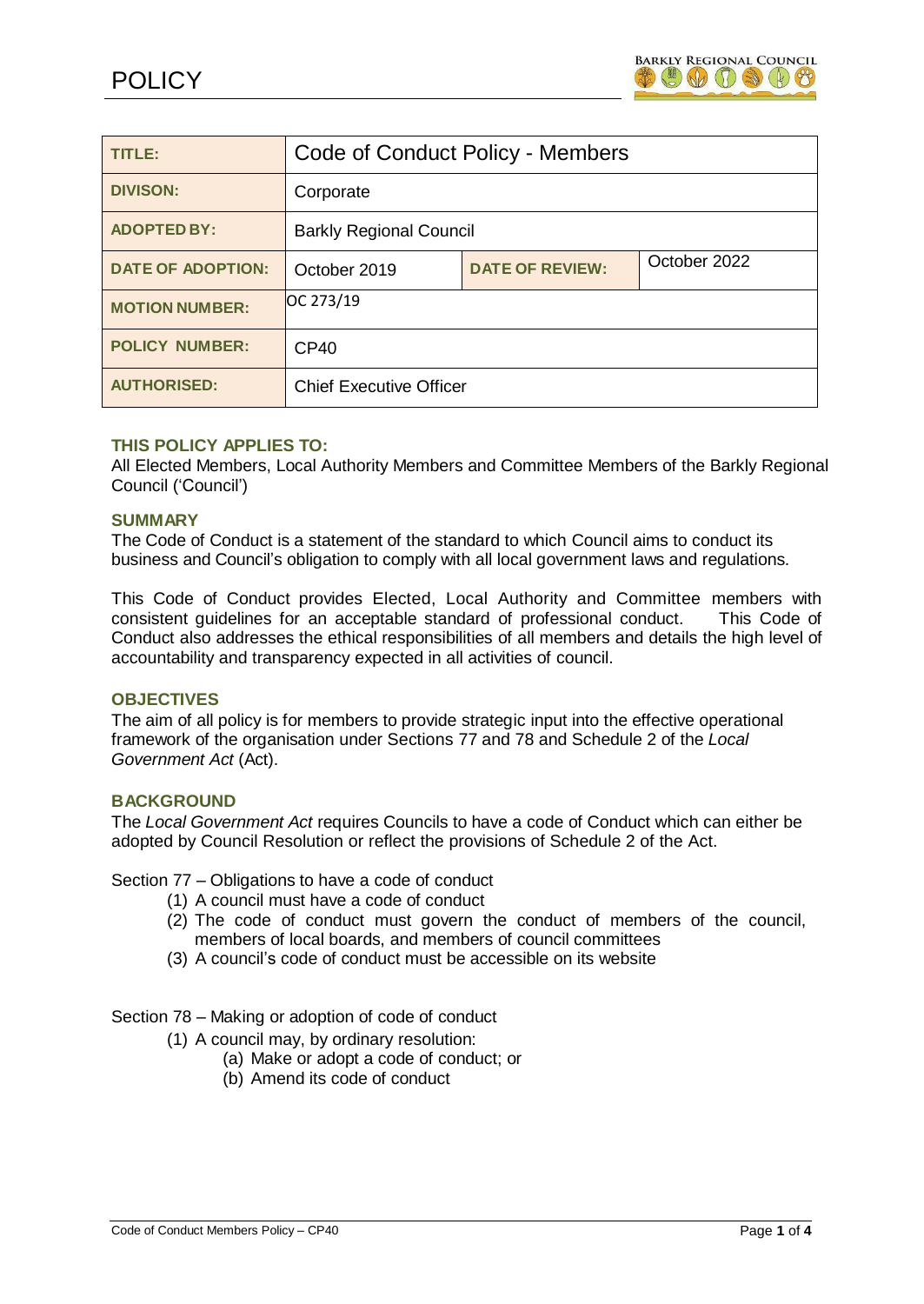| TITLE:                   | Code of Conduct Policy - Members |                        |              |
|--------------------------|----------------------------------|------------------------|--------------|
| <b>DIVISON:</b>          | Corporate                        |                        |              |
| <b>ADOPTED BY:</b>       | <b>Barkly Regional Council</b>   |                        |              |
| <b>DATE OF ADOPTION:</b> | October 2019                     | <b>DATE OF REVIEW:</b> | October 2022 |
| <b>MOTION NUMBER:</b>    | OC 273/19                        |                        |              |
| <b>POLICY NUMBER:</b>    | <b>CP40</b>                      |                        |              |
| <b>AUTHORISED:</b>       | <b>Chief Executive Officer</b>   |                        |              |

## **THIS POLICY APPLIES TO:**

All Elected Members, Local Authority Members and Committee Members of the Barkly Regional Council ('Council')

#### **SUMMARY**

The Code of Conduct is a statement of the standard to which Council aims to conduct its business and Council's obligation to comply with all local government laws and regulations.

This Code of Conduct provides Elected, Local Authority and Committee members with consistent guidelines for an acceptable standard of professional conduct. This Code of Conduct also addresses the ethical responsibilities of all members and details the high level of accountability and transparency expected in all activities of council.

### **OBJECTIVES**

The aim of all policy is for members to provide strategic input into the effective operational framework of the organisation under Sections 77 and 78 and Schedule 2 of the *Local Government Act* (Act).

# **BACKGROUND**

The *Local Government Act* requires Councils to have a code of Conduct which can either be adopted by Council Resolution or reflect the provisions of Schedule 2 of the Act.

Section 77 – Obligations to have a code of conduct

- (1) A council must have a code of conduct
- (2) The code of conduct must govern the conduct of members of the council, members of local boards, and members of council committees
- (3) A council's code of conduct must be accessible on its website

Section 78 – Making or adoption of code of conduct

- (1) A council may, by ordinary resolution:
	- (a) Make or adopt a code of conduct; or
	- (b) Amend its code of conduct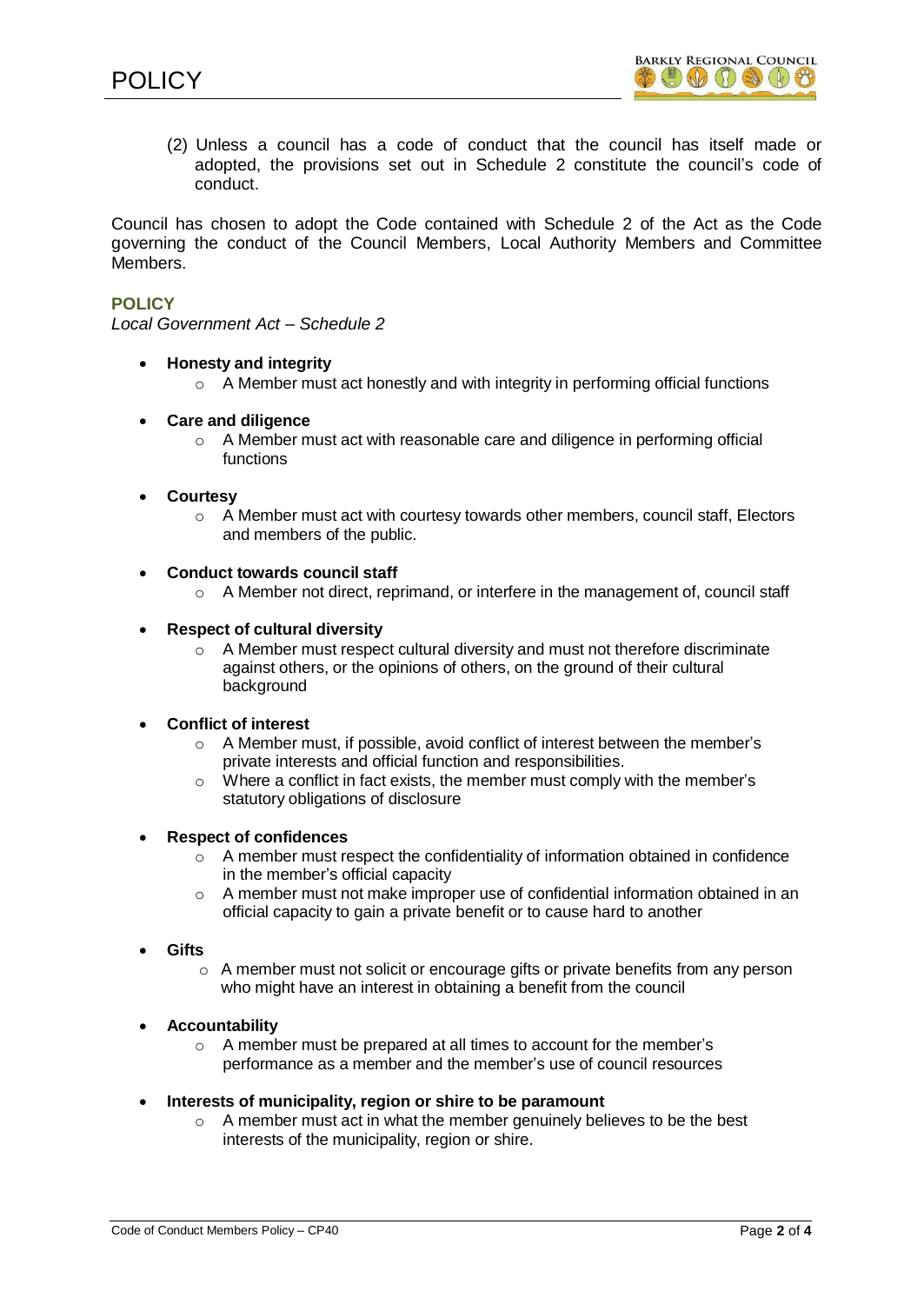(2) Unless a council has a code of conduct that the council has itself made or adopted, the provisions set out in Schedule 2 constitute the council's code of conduct.

Council has chosen to adopt the Code contained with Schedule 2 of the Act as the Code governing the conduct of the Council Members, Local Authority Members and Committee Members.

# **POLICY**

*Local Government Act – Schedule 2*

- **Honesty and integrity**
	- o A Member must act honestly and with integrity in performing official functions
- **Care and diligence**
	- o A Member must act with reasonable care and diligence in performing official functions

#### **Courtesy**

- $\circ$  A Member must act with courtesy towards other members, council staff, Electors and members of the public.
- **Conduct towards council staff**
	- o A Member not direct, reprimand, or interfere in the management of, council staff

#### **Respect of cultural diversity**

o A Member must respect cultural diversity and must not therefore discriminate against others, or the opinions of others, on the ground of their cultural background

### **Conflict of interest**

- A Member must, if possible, avoid conflict of interest between the member's private interests and official function and responsibilities.
- o Where a conflict in fact exists, the member must comply with the member's statutory obligations of disclosure

#### **Respect of confidences**

- $\circ$  A member must respect the confidentiality of information obtained in confidence in the member's official capacity
- $\circ$  A member must not make improper use of confidential information obtained in an official capacity to gain a private benefit or to cause hard to another
- **Gifts**
	- $\circ$  A member must not solicit or encourage gifts or private benefits from any person who might have an interest in obtaining a benefit from the council

#### **Accountability**

- o A member must be prepared at all times to account for the member's performance as a member and the member's use of council resources
- **Interests of municipality, region or shire to be paramount**
	- $\circ$  A member must act in what the member genuinely believes to be the best interests of the municipality, region or shire.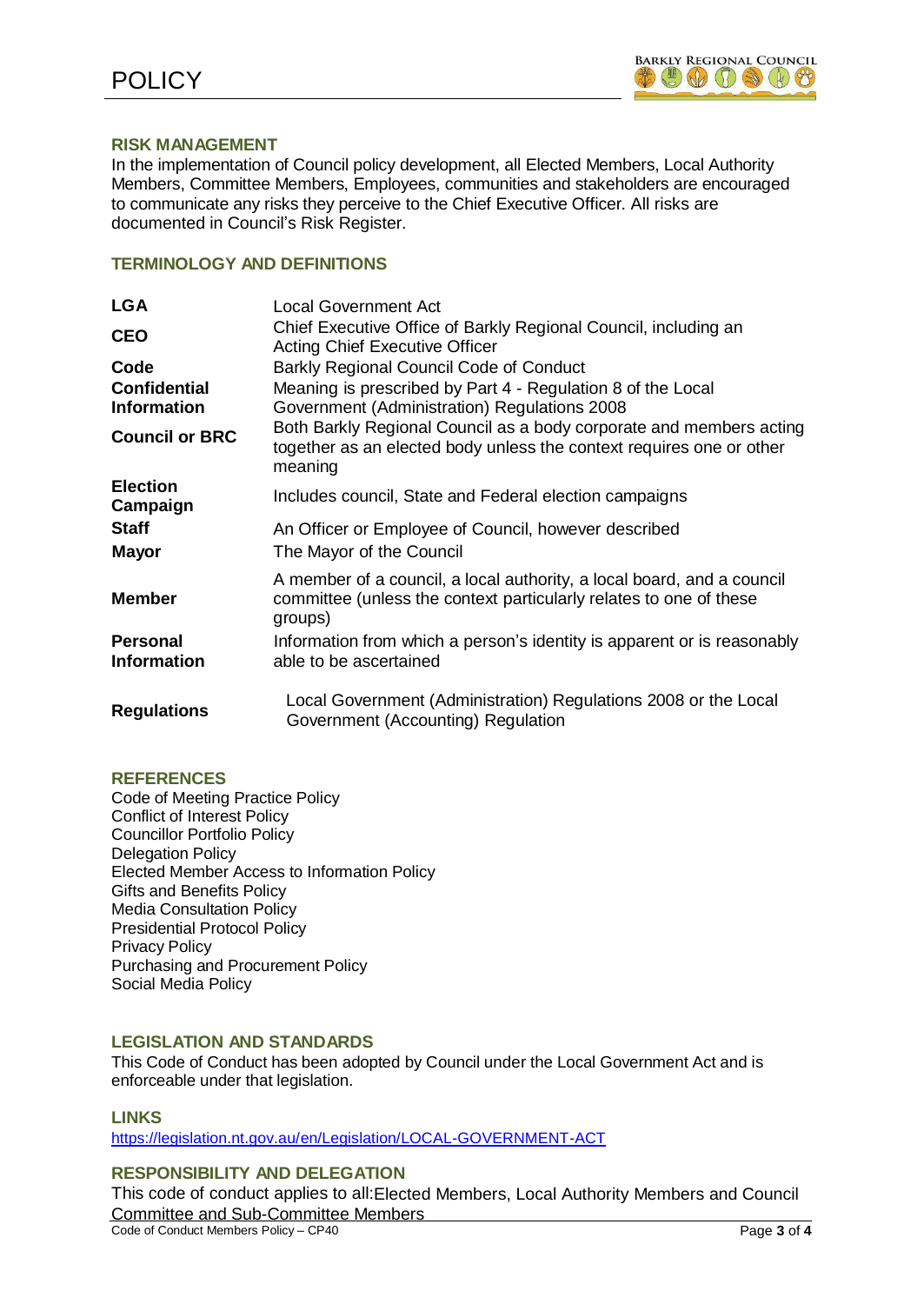

### **RISK MANAGEMENT**

In the implementation of Council policy development, all Elected Members, Local Authority Members, Committee Members, Employees, communities and stakeholders are encouraged to communicate any risks they perceive to the Chief Executive Officer. All risks are documented in Council's Risk Register.

# **TERMINOLOGY AND DEFINITIONS**

| <b>LGA</b>                  | Local Government Act                                                                                                                                    |  |  |
|-----------------------------|---------------------------------------------------------------------------------------------------------------------------------------------------------|--|--|
| <b>CEO</b>                  | Chief Executive Office of Barkly Regional Council, including an<br><b>Acting Chief Executive Officer</b>                                                |  |  |
| Code                        | Barkly Regional Council Code of Conduct                                                                                                                 |  |  |
| <b>Confidential</b>         | Meaning is prescribed by Part 4 - Regulation 8 of the Local                                                                                             |  |  |
| <b>Information</b>          | Government (Administration) Regulations 2008                                                                                                            |  |  |
| <b>Council or BRC</b>       | Both Barkly Regional Council as a body corporate and members acting<br>together as an elected body unless the context requires one or other<br>meaning  |  |  |
| <b>Election</b><br>Campaign | Includes council, State and Federal election campaigns                                                                                                  |  |  |
| <b>Staff</b>                | An Officer or Employee of Council, however described                                                                                                    |  |  |
| <b>Mayor</b>                | The Mayor of the Council                                                                                                                                |  |  |
| <b>Member</b>               | A member of a council, a local authority, a local board, and a council<br>committee (unless the context particularly relates to one of these<br>groups) |  |  |
| <b>Personal</b>             | Information from which a person's identity is apparent or is reasonably                                                                                 |  |  |
| <b>Information</b>          | able to be ascertained                                                                                                                                  |  |  |
| <b>Regulations</b>          | Local Government (Administration) Regulations 2008 or the Local<br>Government (Accounting) Regulation                                                   |  |  |

### **REFERENCES**

Code of Meeting Practice Policy Conflict of Interest Policy Councillor Portfolio Policy Delegation Policy Elected Member Access to Information Policy Gifts and Benefits Policy Media Consultation Policy Presidential Protocol Policy Privacy Policy Purchasing and Procurement Policy Social Media Policy

### **LEGISLATION AND STANDARDS**

This Code of Conduct has been adopted by Council under the Local Government Act and is enforceable under that legislation.

### **LINKS**

<https://legislation.nt.gov.au/en/Legislation/LOCAL-GOVERNMENT-ACT>

### **RESPONSIBILITY AND DELEGATION**

Code of Conduct Members Policy – CP40 Page **3** of **4** This code of conduct applies to all:Elected Members, Local Authority Members and Council Committee and Sub-Committee Members